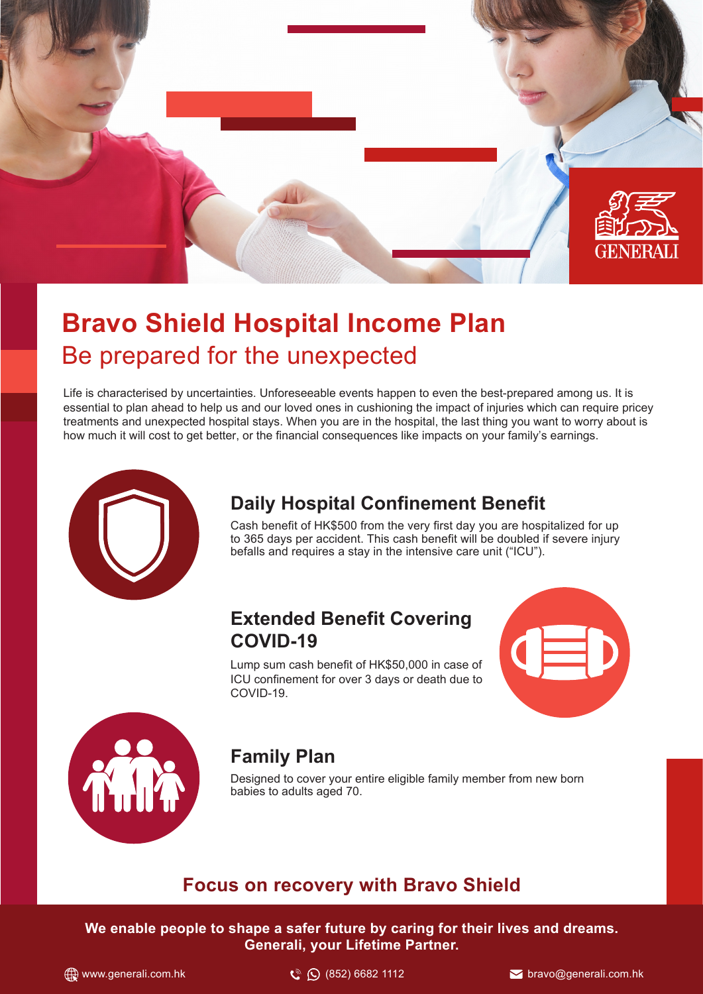

# **Bravo Shield Hospital Income Plan** Be prepared for the unexpected

Life is characterised by uncertainties. Unforeseeable events happen to even the best-prepared among us. It is essential to plan ahead to help us and our loved ones in cushioning the impact of injuries which can require pricey treatments and unexpected hospital stays. When you are in the hospital, the last thing you want to worry about is how much it will cost to get better, or the financial consequences like impacts on your family's earnings.



### **Daily Hospital Confinement Benefit**

Cash benefit of HK\$500 from the very first day you are hospitalized for up to 365 days per accident. This cash benefit will be doubled if severe injury befalls and requires a stay in the intensive care unit ("ICU").

#### **Extended Benefit Covering COVID-19**

Lump sum cash benefit of HK\$50,000 in case of ICU confinement for over 3 days or death due to COVID-19.





### **Family Plan**

Designed to cover your entire eligible family member from new born babies to adults aged 70.

#### **Focus on recovery with Bravo Shield**

**We enable people to shape a safer future by caring for their lives and dreams. Generali, your Lifetime Partner.**